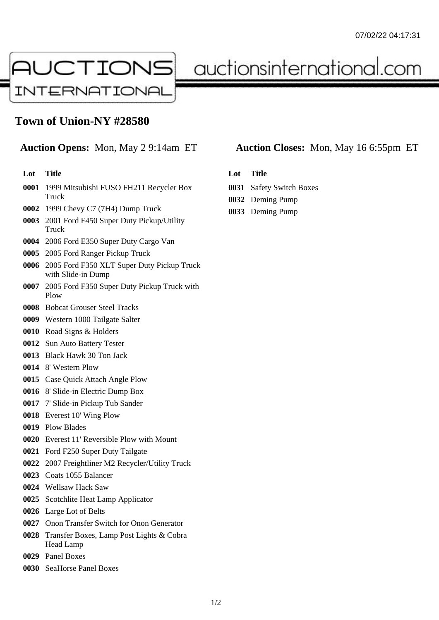

auctionsinternational.com

## **Town of Union-NY #28580**

## **Lot Title**

- 1999 Mitsubishi FUSO FH211 Recycler Box Truck
- 1999 Chevy C7 (7H4) Dump Truck
- 2001 Ford F450 Super Duty Pickup/Utility Truck
- 2006 Ford E350 Super Duty Cargo Van
- 2005 Ford Ranger Pickup Truck
- 2005 Ford F350 XLT Super Duty Pickup Truck with Slide-in Dump
- 2005 Ford F350 Super Duty Pickup Truck with Plow
- Bobcat Grouser Steel Tracks
- Western 1000 Tailgate Salter
- Road Signs & Holders
- Sun Auto Battery Tester
- Black Hawk 30 Ton Jack
- 8' Western Plow
- Case Quick Attach Angle Plow
- 8' Slide-in Electric Dump Box
- 7' Slide-in Pickup Tub Sander
- Everest 10' Wing Plow
- Plow Blades
- Everest 11' Reversible Plow with Mount
- Ford F250 Super Duty Tailgate
- 2007 Freightliner M2 Recycler/Utility Truck
- Coats 1055 Balancer
- Wellsaw Hack Saw
- Scotchlite Heat Lamp Applicator
- Large Lot of Belts
- Onon Transfer Switch for Onon Generator
- Transfer Boxes, Lamp Post Lights & Cobra Head Lamp
- Panel Boxes
- SeaHorse Panel Boxes

## **Auction Opens:** Mon, May 2 9:14am ET **Auction Closes:** Mon, May 16 6:55pm ET

- **Lot Title**
- Safety Switch Boxes
- Deming Pump
- Deming Pump